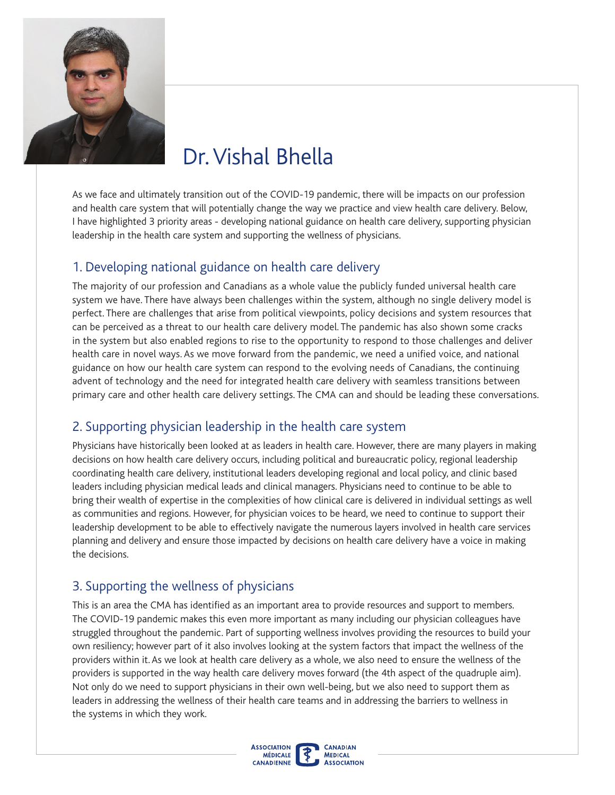

# Dr. Vishal Bhella

As we face and ultimately transition out of the COVID-19 pandemic, there will be impacts on our profession and health care system that will potentially change the way we practice and view health care delivery. Below, I have highlighted 3 priority areas - developing national guidance on health care delivery, supporting physician leadership in the health care system and supporting the wellness of physicians.

#### 1. Developing national guidance on health care delivery

The majority of our profession and Canadians as a whole value the publicly funded universal health care system we have. There have always been challenges within the system, although no single delivery model is perfect. There are challenges that arise from political viewpoints, policy decisions and system resources that can be perceived as a threat to our health care delivery model. The pandemic has also shown some cracks in the system but also enabled regions to rise to the opportunity to respond to those challenges and deliver health care in novel ways. As we move forward from the pandemic, we need a unifed voice, and national guidance on how our health care system can respond to the evolving needs of Canadians, the continuing advent of technology and the need for integrated health care delivery with seamless transitions between primary care and other health care delivery settings. The CMA can and should be leading these conversations.

### 2. Supporting physician leadership in the health care system

Physicians have historically been looked at as leaders in health care. However, there are many players in making decisions on how health care delivery occurs, including political and bureaucratic policy, regional leadership coordinating health care delivery, institutional leaders developing regional and local policy, and clinic based leaders including physician medical leads and clinical managers. Physicians need to continue to be able to bring their wealth of expertise in the complexities of how clinical care is delivered in individual settings as well as communities and regions. However, for physician voices to be heard, we need to continue to support their leadership development to be able to effectively navigate the numerous layers involved in health care services planning and delivery and ensure those impacted by decisions on health care delivery have a voice in making the decisions.

### 3. Supporting the wellness of physicians

providers is supported in the way health care delivery moves forward (the 4th aspect of the quadruple aim). This is an area the CMA has identifed as an important area to provide resources and support to members. The COVID-19 pandemic makes this even more important as many including our physician colleagues have struggled throughout the pandemic. Part of supporting wellness involves providing the resources to build your own resiliency; however part of it also involves looking at the system factors that impact the wellness of the providers within it. As we look at health care delivery as a whole, we also need to ensure the wellness of the Not only do we need to support physicians in their own well-being, but we also need to support them as leaders in addressing the wellness of their health care teams and in addressing the barriers to wellness in the systems in which they work.